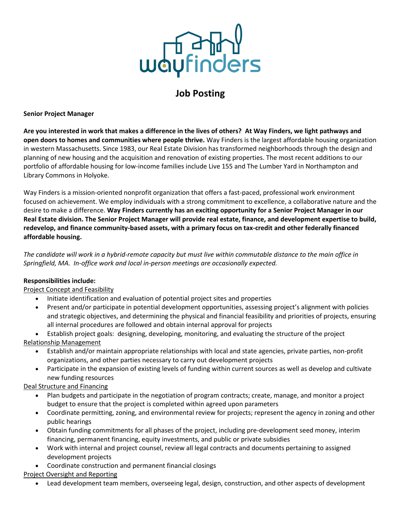

# **Job Posting**

#### **Senior Project Manager**

**Are you interested in work that makes a difference in the lives of others? At Way Finders, we light pathways and open doors to homes and communities where people thrive.** Way Finders is the largest affordable housing organization in western Massachusetts. Since 1983, our Real Estate Division has transformed neighborhoods through the design and planning of new housing and the acquisition and renovation of existing properties. The most recent additions to our portfolio of affordable housing for low-income families include Live 155 and The Lumber Yard in Northampton and Library Commons in Holyoke.

Way Finders is a mission-oriented nonprofit organization that offers a fast-paced, professional work environment focused on achievement. We employ individuals with a strong commitment to excellence, a collaborative nature and the desire to make a difference. **Way Finders currently has an exciting opportunity for a Senior Project Manager in our Real Estate division. The Senior Project Manager will provide real estate, finance, and development expertise to build, redevelop, and finance community-based assets, with a primary focus on tax-credit and other federally financed affordable housing.**

*The candidate will work in a hybrid-remote capacity but must live within commutable distance to the main office in Springfield, MA. In-office work and local in-person meetings are occasionally expected.*

## **Responsibilities include:**

Project Concept and Feasibility

- Initiate identification and evaluation of potential project sites and properties
- Present and/or participate in potential development opportunities, assessing project's alignment with policies and strategic objectives, and determining the physical and financial feasibility and priorities of projects, ensuring all internal procedures are followed and obtain internal approval for projects

• Establish project goals: designing, developing, monitoring, and evaluating the structure of the project Relationship Management

- Establish and/or maintain appropriate relationships with local and state agencies, private parties, non-profit organizations, and other parties necessary to carry out development projects
- Participate in the expansion of existing levels of funding within current sources as well as develop and cultivate new funding resources

Deal Structure and Financing

- Plan budgets and participate in the negotiation of program contracts; create, manage, and monitor a project budget to ensure that the project is completed within agreed upon parameters
- Coordinate permitting, zoning, and environmental review for projects; represent the agency in zoning and other public hearings
- Obtain funding commitments for all phases of the project, including pre-development seed money, interim financing, permanent financing, equity investments, and public or private subsidies
- Work with internal and project counsel, review all legal contracts and documents pertaining to assigned development projects
- Coordinate construction and permanent financial closings

Project Oversight and Reporting

• Lead development team members, overseeing legal, design, construction, and other aspects of development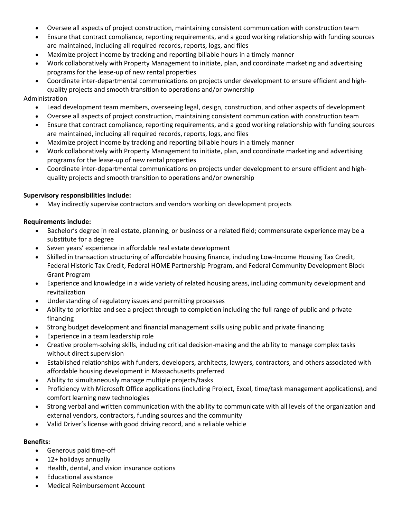- Oversee all aspects of project construction, maintaining consistent communication with construction team
- Ensure that contract compliance, reporting requirements, and a good working relationship with funding sources are maintained, including all required records, reports, logs, and files
- Maximize project income by tracking and reporting billable hours in a timely manner
- Work collaboratively with Property Management to initiate, plan, and coordinate marketing and advertising programs for the lease-up of new rental properties
- Coordinate inter-departmental communications on projects under development to ensure efficient and highquality projects and smooth transition to operations and/or ownership

### Administration

- Lead development team members, overseeing legal, design, construction, and other aspects of development
- Oversee all aspects of project construction, maintaining consistent communication with construction team
- Ensure that contract compliance, reporting requirements, and a good working relationship with funding sources are maintained, including all required records, reports, logs, and files
- Maximize project income by tracking and reporting billable hours in a timely manner
- Work collaboratively with Property Management to initiate, plan, and coordinate marketing and advertising programs for the lease-up of new rental properties
- Coordinate inter-departmental communications on projects under development to ensure efficient and highquality projects and smooth transition to operations and/or ownership

### **Supervisory responsibilities include:**

• May indirectly supervise contractors and vendors working on development projects

### **Requirements include:**

- Bachelor's degree in real estate, planning, or business or a related field; commensurate experience may be a substitute for a degree
- Seven years' experience in affordable real estate development
- Skilled in transaction structuring of affordable housing finance, including Low-Income Housing Tax Credit, Federal Historic Tax Credit, Federal HOME Partnership Program, and Federal Community Development Block Grant Program
- Experience and knowledge in a wide variety of related housing areas, including community development and revitalization
- Understanding of regulatory issues and permitting processes
- Ability to prioritize and see a project through to completion including the full range of public and private financing
- Strong budget development and financial management skills using public and private financing
- Experience in a team leadership role
- Creative problem-solving skills, including critical decision-making and the ability to manage complex tasks without direct supervision
- Established relationships with funders, developers, architects, lawyers, contractors, and others associated with affordable housing development in Massachusetts preferred
- Ability to simultaneously manage multiple projects/tasks
- Proficiency with Microsoft Office applications (including Project, Excel, time/task management applications), and comfort learning new technologies
- Strong verbal and written communication with the ability to communicate with all levels of the organization and external vendors, contractors, funding sources and the community
- Valid Driver's license with good driving record, and a reliable vehicle

#### **Benefits:**

- Generous paid time-off
- 12+ holidays annually
- Health, dental, and vision insurance options
- Educational assistance
- Medical Reimbursement Account